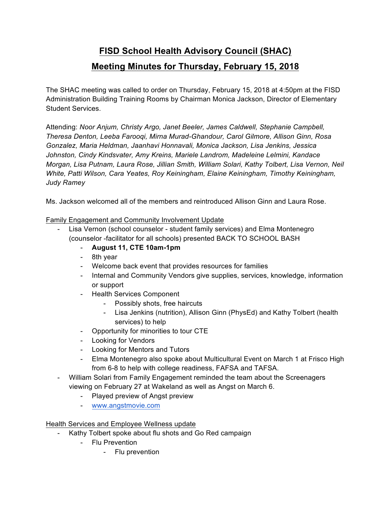## **FISD School Health Advisory Council (SHAC)**

## **Meeting Minutes for Thursday, February 15, 2018**

The SHAC meeting was called to order on Thursday, February 15, 2018 at 4:50pm at the FISD Administration Building Training Rooms by Chairman Monica Jackson, Director of Elementary Student Services.

Attending: *Noor Anjum, Christy Argo, Janet Beeler, James Caldwell, Stephanie Campbell, Theresa Denton, Leeba Farooqi, Mirna Murad-Ghandour, Carol Gilmore, Allison Ginn, Rosa Gonzalez, Maria Heldman, Jaanhavi Honnavali, Monica Jackson, Lisa Jenkins, Jessica Johnston, Cindy Kindsvater, Amy Kreins, Mariele Landrom, Madeleine Lelmini, Kandace Morgan, Lisa Putnam, Laura Rose, Jillian Smith, William Solari, Kathy Tolbert, Lisa Vernon, Neil White, Patti Wilson, Cara Yeates, Roy Keiningham, Elaine Keiningham, Timothy Keiningham, Judy Ramey*

Ms. Jackson welcomed all of the members and reintroduced Allison Ginn and Laura Rose.

Family Engagement and Community Involvement Update

- Lisa Vernon (school counselor student family services) and Elma Montenegro (counselor -facilitator for all schools) presented BACK TO SCHOOL BASH
	- **August 11, CTE 10am-1pm**
	- 8th year
	- Welcome back event that provides resources for families
	- Internal and Community Vendors give supplies, services, knowledge, information or support
	- Health Services Component
		- Possibly shots, free haircuts
		- Lisa Jenkins (nutrition), Allison Ginn (PhysEd) and Kathy Tolbert (health services) to help
	- Opportunity for minorities to tour CTE
	- Looking for Vendors
	- Looking for Mentors and Tutors
	- Elma Montenegro also spoke about Multicultural Event on March 1 at Frisco High from 6-8 to help with college readiness, FAFSA and TAFSA.
- William Solari from Family Engagement reminded the team about the Screenagers viewing on February 27 at Wakeland as well as Angst on March 6.
	- Played preview of Angst preview
	- www.angstmovie.com

## Health Services and Employee Wellness update

- Kathy Tolbert spoke about flu shots and Go Red campaign
	- Flu Prevention
		- Flu prevention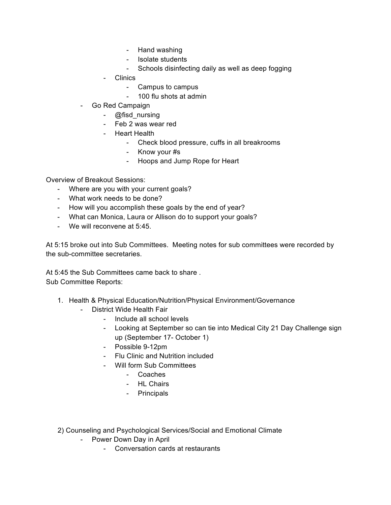- Hand washing
- Isolate students
- Schools disinfecting daily as well as deep fogging
- Clinics
	- Campus to campus
	- 100 flu shots at admin
- Go Red Campaign
	- @fisd\_nursing
	- Feb 2 was wear red
	- Heart Health
		- Check blood pressure, cuffs in all breakrooms
		- Know your #s
		- Hoops and Jump Rope for Heart

Overview of Breakout Sessions:

- Where are you with your current goals?
- What work needs to be done?
- How will you accomplish these goals by the end of year?
- What can Monica, Laura or Allison do to support your goals?
- We will reconvene at 5:45.

At 5:15 broke out into Sub Committees. Meeting notes for sub committees were recorded by the sub-committee secretaries.

At 5:45 the Sub Committees came back to share . Sub Committee Reports:

- 1. Health & Physical Education/Nutrition/Physical Environment/Governance
	- District Wide Health Fair
		- Include all school levels
		- Looking at September so can tie into Medical City 21 Day Challenge sign up (September 17- October 1)
		- Possible 9-12pm
		- Flu Clinic and Nutrition included
		- Will form Sub Committees
			- Coaches
			- HL Chairs
			- Principals
- 2) Counseling and Psychological Services/Social and Emotional Climate
	- Power Down Day in April
		- Conversation cards at restaurants